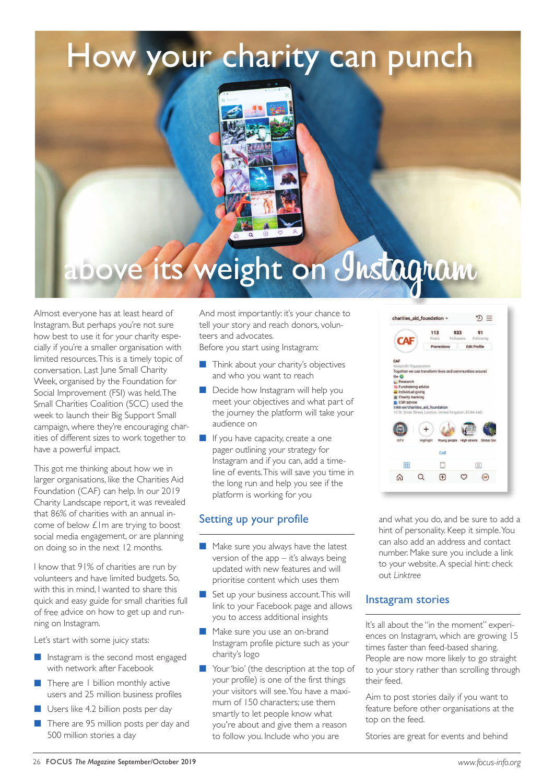# How your charity can punch



# its weight on Instagram

Almost everyone has at least heard of Instagram. But perhaps you're not sure how best to use it for your charity especially if you're <sup>a</sup> smaller organisation with limited resources.This is <sup>a</sup> timely topic of conversation. Last June Small Charity Week, organised by the Foundation for Social Improvement (FSI) was held.The Small Charities Coalition (SCC) used the week to launch their Big Support Small campaign, where they're encouraging charities of different sizes to work together to have <sup>a</sup> powerful impact.

This go<sup>t</sup> me thinking about how we in larger organisations, like the Charities Aid Foundation (CAF) can help. In our 2019 Charity Landscape report, it was revealed that 86% of charities with an annual income of below £1m are trying to boost social media engagement, or are planning on doing so in the next 12 months.

 know that 91% of charities are run by volunteers and have limited budgets. So, with this in mind, I wanted to share this quick and easy guide for small charities full of free advice on how to ge<sup>t</sup> up and running on Instagram.

Let's start with some juicy stats:

- $\blacksquare$  Instagram is the second most engaged with network after Facebook
- $\blacksquare$  There are 1 billion monthly active users and 25 million business profiles
- nUsers like 4.2 billion posts per day
- n There are 95 million posts per day and 500 million stories <sup>a</sup> day

And most importantly: it's your chance to tell your story and reach donors, volunteers and advocates.

Before you start using Instagram:

- $\blacksquare$  Think about your charity's objectives and who you want to reach
- Decide how Instagram will help you meet your objectives and what part of the journey the platform will take your audience on
- $\blacksquare$  If you have capacity, create a one pager outlining your strategy for Instagram and if you can, add a timeline of events.This will save you time in the long run and help you see if the platform is working for you

#### Setting up your profile

- **n** Make sure you always have the latest version of the app – it's always being updated with new features and will prioritise content which uses them
- set up your business account. This will link to your Facebook page and allows you to access additional insights
- Make sure you use an on-brand Instagram profile picture such as your charity's logo
- $\blacksquare$  Your 'bio' (the description at the top of your profile) is one of the first things your visitors will see.You have a maximum of 150 characters; use them smartly to let people know what you're about and give them a reason to follow you. Include who you are

and what you do, and be sure to add a hint of personality. Keep it simple.You can also add an address and contact number. Make sure you include a link to your website.A special hint: check out *Linktree*

D

 $\bigoplus$ 

 $\mathfrak{D}\equiv$ 

回

 $\bigcirc$ 

 $\circ$ 

charities\_aid\_foundation

Together we can transform lives and  $\alpha$ <br>the  $\bullet$ 

 $+$ 

 $\Omega$ 

the C<br> **Exploration**<br> **Exploration**<br> **Exploration**<br> **Exploration**<br> **Exploration**<br> **Exploration** 

用

 $\Omega$ 

CA

#### Instagram stories

It's all about the "in the moment" experiences on Instagram, which are growing 15 times faster than feed-based sharing. People are now more likely to go straight to your story rather than scrolling through their feed.

Aim to post stories daily if you want to feature before other organisations at the top on the feed.

Stories are great for events and behind